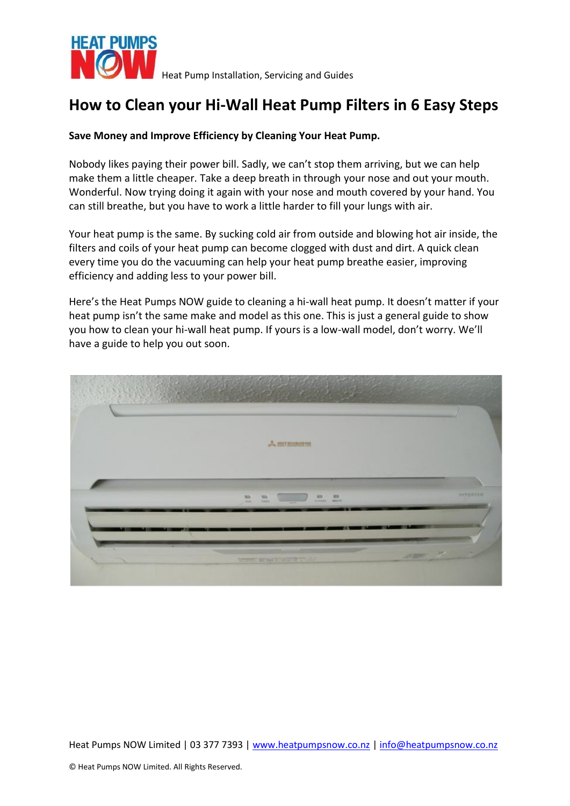

# **How to Clean your Hi-Wall Heat Pump Filters in 6 Easy Steps**

## **Save Money and Improve Efficiency by Cleaning Your Heat Pump.**

Nobody likes paying their power bill. Sadly, we can't stop them arriving, but we can help make them a little cheaper. Take a deep breath in through your nose and out your mouth. Wonderful. Now trying doing it again with your nose and mouth covered by your hand. You can still breathe, but you have to work a little harder to fill your lungs with air.

Your heat pump is the same. By sucking cold air from outside and blowing hot air inside, the filters and coils of your heat pump can become clogged with dust and dirt. A quick clean every time you do the vacuuming can help your heat pump breathe easier, improving efficiency and adding less to your power bill.

Here's the Heat Pumps NOW guide to cleaning a hi-wall heat pump. It doesn't matter if your heat pump isn't the same make and model as this one. This is just a general guide to show you how to clean your hi-wall heat pump. If yours is a low-wall model, don't worry. We'll have a guide to help you out soon.

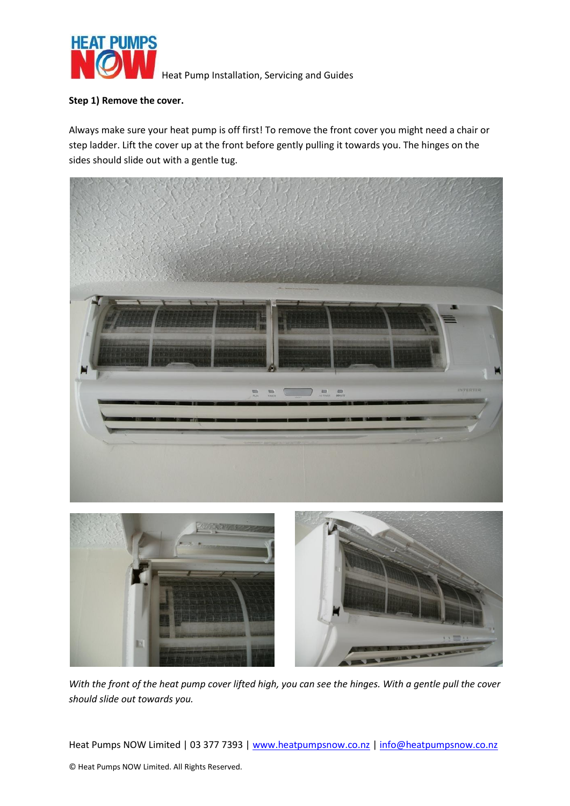

#### **Step 1) Remove the cover.**

Always make sure your heat pump is off first! To remove the front cover you might need a chair or step ladder. Lift the cover up at the front before gently pulling it towards you. The hinges on the sides should slide out with a gentle tug.



*With the front of the heat pump cover lifted high, you can see the hinges. With a gentle pull the cover should slide out towards you.*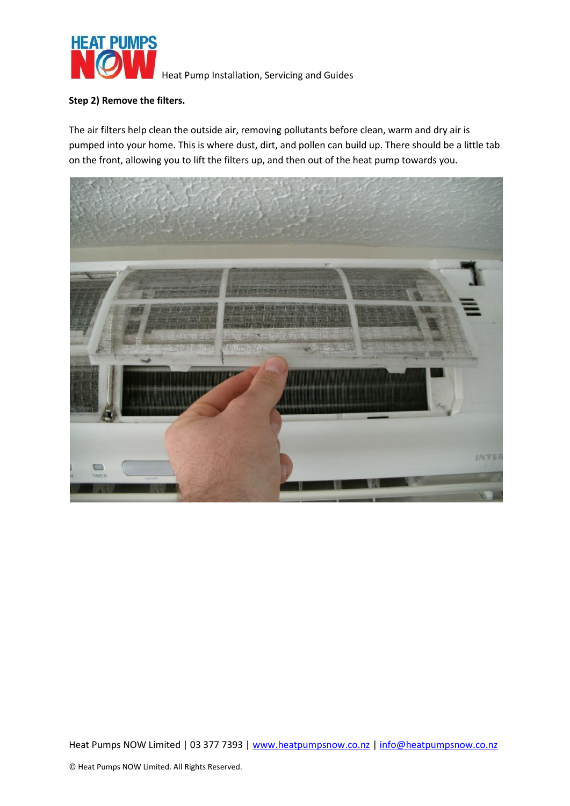

### **Step 2) Remove the filters.**

The air filters help clean the outside air, removing pollutants before clean, warm and dry air is pumped into your home. This is where dust, dirt, and pollen can build up. There should be a little tab on the front, allowing you to lift the filters up, and then out of the heat pump towards you.

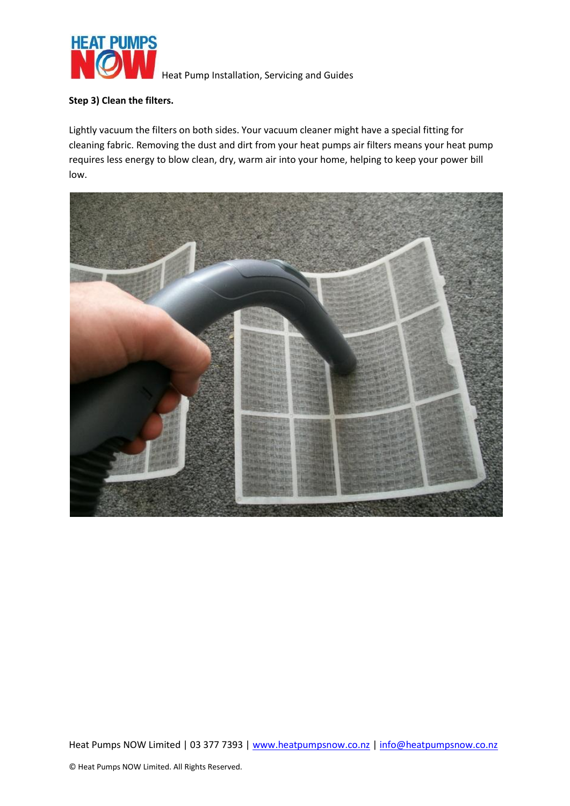

## **Step 3) Clean the filters.**

Lightly vacuum the filters on both sides. Your vacuum cleaner might have a special fitting for cleaning fabric. Removing the dust and dirt from your heat pumps air filters means your heat pump requires less energy to blow clean, dry, warm air into your home, helping to keep your power bill low.

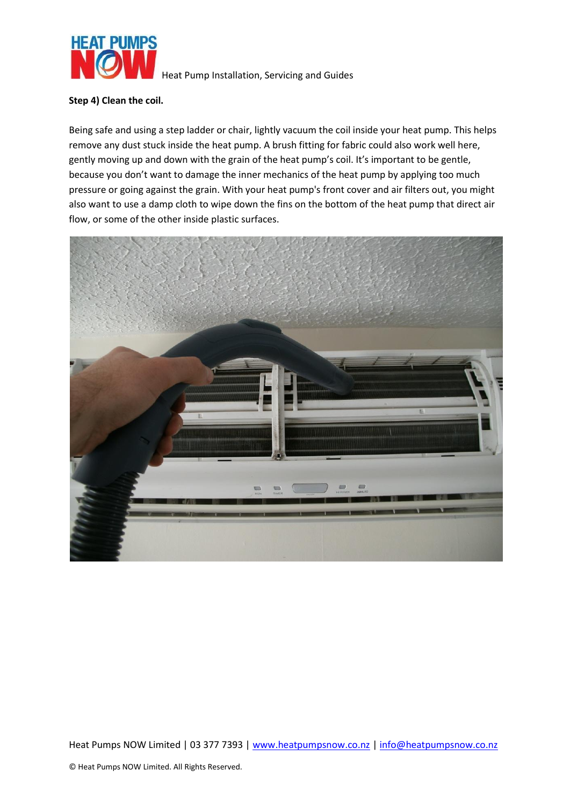

#### **Step 4) Clean the coil.**

Being safe and using a step ladder or chair, lightly vacuum the coil inside your heat pump. This helps remove any dust stuck inside the heat pump. A brush fitting for fabric could also work well here, gently moving up and down with the grain of the heat pump's coil. It's important to be gentle, because you don't want to damage the inner mechanics of the heat pump by applying too much pressure or going against the grain. With your heat pump's front cover and air filters out, you might also want to use a damp cloth to wipe down the fins on the bottom of the heat pump that direct air flow, or some of the other inside plastic surfaces.

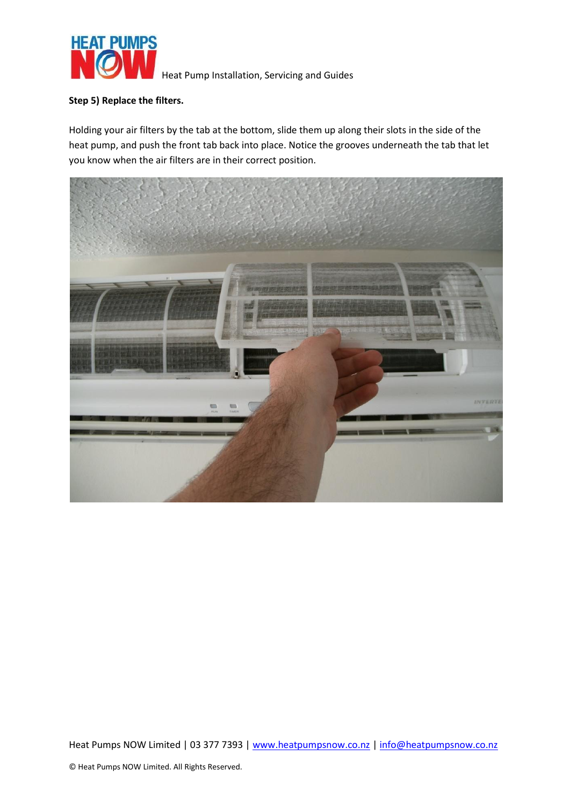

### **Step 5) Replace the filters.**

Holding your air filters by the tab at the bottom, slide them up along their slots in the side of the heat pump, and push the front tab back into place. Notice the grooves underneath the tab that let you know when the air filters are in their correct position.